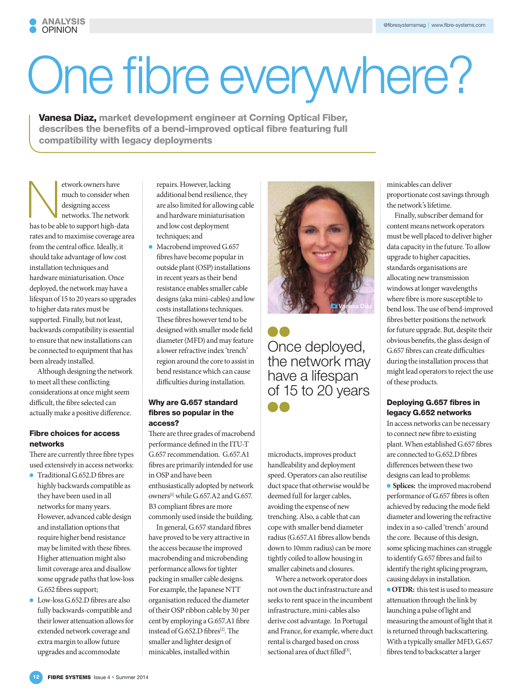# One fibre everywhere?

Vanesa Diaz, market development engineer at Corning Optical Fiber, describes the benefits of a bend-improved optical fibre featuring full compatibility with legacy deployments

etwork owners have<br>
much to consider when<br>
designing access<br>
networks. The network<br>
has to be able to support high-data much to consider when designing access networks. The network rates and to maximise coverage area from the central office. Ideally, it should take advantage of low cost installation techniques and hardware miniaturisation. Once deployed, the network may have a lifespan of 15 to 20 years so upgrades to higher data rates must be supported. Finally, but not least, backwards compatibility is essential to ensure that new installations can be connected to equipment that has been already installed.

Although designing the network to meet all these conflicting considerations at once might seem difficult, the fibre selected can actually make a positive difference.

## Fibre choices for access networks

There are currently three fibre types used extensively in access networks:

- **Traditional G.652.D fibres are** highly backwards compatible as they have been used in all networks for many years. However, advanced cable design and installation options that require higher bend resistance may be limited with these fibres. Higher attenuation might also limit coverage area and disallow some upgrade paths that low-loss G.652 fibres support;
- **Low-loss G.652.D fibres are also** fully backwards-compatible and their lower attenuation allows for extended network coverage and extra margin to allow future upgrades and accommodate

repairs. However, lacking additional bend resilience, they are also limited for allowing cable and hardware miniaturisation and low cost deployment techniques; and

 $\bullet$  Macrobend improved G.657 fibres have become popular in outside plant (OSP) installations in recent years as their bend resistance enables smaller cable designs (aka mini-cables) and low costs installations techniques. These fibres however tend to be designed with smaller mode field diameter (MFD) and may feature a lower refractive index 'trench' region around the core to assist in bend resistance which can cause difficulties during installation.

#### Why are G.657 standard fibres so popular in the access?

There are three grades of macrobend performance defined in the ITU-T G.657 recommendation. G.657.A1 fibres are primarily intended for use in OSP and have been enthusiastically adopted by network owners<sup>[1]</sup> while G.657.A2 and G.657. B3 compliant fibres are more commonly used inside the building.

In general, G.657 standard fibres have proved to be very attractive in the access because the improved macrobending and microbending performance allows for tighter packing in smaller cable designs. For example, the Japanese NTT organisation reduced the diameter of their OSP ribbon cable by 30 per cent by employing a G.657.A1 fibre instead of G.652.D fibres<sup>[2]</sup>. The smaller and lighter design of minicables, installed within



Once deployed, the network may have a lifespan of 15 to 20 years a a

microducts, improves product handleability and deployment speed. Operators can also reutilise duct space that otherwise would be deemed full for larger cables, avoiding the expense of new trenching. Also, a cable that can cope with smaller bend diameter radius (G.657.A1 fibres allow bends down to 10mm radius) can be more tightly coiled to allow housing in smaller cabinets and closures.

Where a network operator does not own the duct infrastructure and seeks to rent space in the incumbent infrastructure, mini-cables also derive cost advantage. In Portugal and France, for example, where duct rental is charged based on cross sectional area of duct filled<sup>[3]</sup>,

minicables can deliver proportionate cost savings through the network's lifetime.

Finally, subscriber demand for content means network operators must be well placed to deliver higher data capacity in the future. To allow upgrade to higher capacities, standards organisations are allocating new transmission windows at longer wavelengths where fibre is more susceptible to bend loss. The use of bend-improved fibres better positions the network for future upgrade. But, despite their obvious benefits, the glass design of G.657 fibres can create difficulties during the installation process that might lead operators to reject the use of these products.

## Deploying G.657 fibres in legacy G.652 networks

In access networks can be necessary to connect new fibre to existing plant. When established G.657 fibres are connected to G.652.D fibres differences between these two designs can lead to problems:

**• Splices:** the improved macrobend performance of G.657 fibres is often achieved by reducing the mode field diameter and lowering the refractive index in a so-called 'trench' around the core. Because of this design, some splicing machines can struggle to identify G.657 fibres and fail to identify the right splicing program, causing delays in installation.

**OTDR:** this test is used to measure attenuation through the link by launching a pulse of light and measuring the amount of light that it is returned through backscattering. With a typically smaller MFD, G.657 fibres tend to backscatter a larger